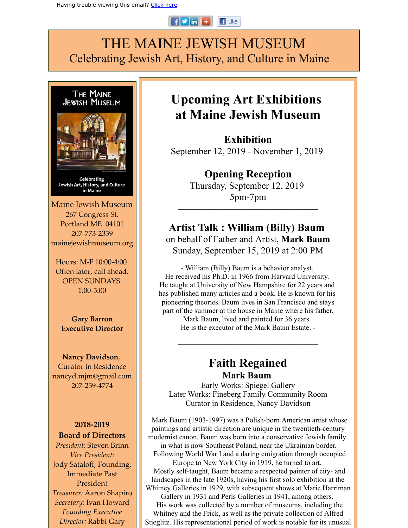#### $F$  in  $F$  $\blacksquare$  Like

# THE MAINE JEWISH MUSEUM Celebrating Jewish Art, History, and Culture in Maine



# **Upcoming Art Exhibitions at Maine Jewish Museum**

**Exhibition** September 12, 2019 - November 1, 2019

> **Opening Reception** Thursday, September 12, 2019 5pm-7pm

**\_\_\_\_\_\_\_\_\_\_\_\_\_\_\_\_\_\_\_\_\_\_\_\_\_\_\_\_\_\_\_\_\_\_\_\_\_\_\_\_\_\_**

### **Artist Talk : William (Billy) Baum** on behalf of Father and Artist, **Mark Baum** Sunday, September 15, 2019 at 2:00 PM

- William (Billy) Baum is a behavior analyst. He received his Ph.D. in 1966 from Harvard University. He taught at University of New Hampshire for 22 years and has published many articles and a book. He is known for his pioneering theories. Baum lives in San Francisco and stays part of the summer at the house in Maine where his father,

Mark Baum, lived and painted for 36 years. He is the executor of the Mark Baum Estate. -

 $\mathcal{L}_\mathcal{L} = \mathcal{L}_\mathcal{L} = \mathcal{L}_\mathcal{L} = \mathcal{L}_\mathcal{L} = \mathcal{L}_\mathcal{L} = \mathcal{L}_\mathcal{L} = \mathcal{L}_\mathcal{L} = \mathcal{L}_\mathcal{L} = \mathcal{L}_\mathcal{L} = \mathcal{L}_\mathcal{L} = \mathcal{L}_\mathcal{L} = \mathcal{L}_\mathcal{L} = \mathcal{L}_\mathcal{L} = \mathcal{L}_\mathcal{L} = \mathcal{L}_\mathcal{L} = \mathcal{L}_\mathcal{L} = \mathcal{L}_\mathcal{L}$ 

## **Faith Regained Mark Baum**

Early Works: Spiegel Gallery Later Works: Fineberg Family Community Room Curator in Residence, Nancy Davidson

Mark Baum (1903-1997) was a Polish-born American artist whose paintings and artistic direction are unique in the twentieth-century modernist canon. Baum was born into a conservative Jewish family in what is now Southeast Poland, near the Ukrainian border. Following World War I and a daring emigration through occupied Europe to New York City in 1919, he turned to art. Mostly self-taught, Baum became a respected painter of city- and landscapes in the late 1920s, having his first solo exhibition at the Whitney Galleries in 1929, with subsequent shows at Marie Harriman Gallery in 1931 and Perls Galleries in 1941, among others. His work was collected by a number of museums, including the Whitney and the Frick, as well as the private collection of Alfred

Stieglitz. His representational period of work is notable for its unusual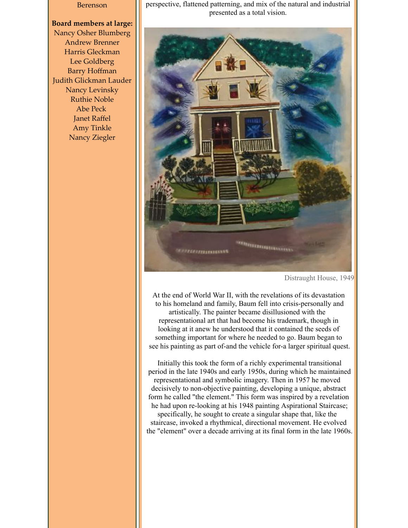#### Berenson

### **Board members at large:** Nancy Osher Blumberg Andrew Brenner Harris Gleckman Lee Goldberg Barry Hoffman Judith Glickman Lauder Nancy Levinsky Ruthie Noble Abe Peck Janet Raffel

Amy Tinkle Nancy Ziegler perspective, flattened patterning, and mix of the natural and industrial presented as a total vision.



Distraught House, 1949

At the end of World War II, with the revelations of its devastation to his homeland and family, Baum fell into crisis-personally and artistically. The painter became disillusioned with the representational art that had become his trademark, though in looking at it anew he understood that it contained the seeds of something important for where he needed to go. Baum began to see his painting as part of-and the vehicle for-a larger spiritual quest.

Initially this took the form of a richly experimental transitional period in the late 1940s and early 1950s, during which he maintained representational and symbolic imagery. Then in 1957 he moved decisively to non-objective painting, developing a unique, abstract form he called "the element." This form was inspired by a revelation he had upon re-looking at his 1948 painting Aspirational Staircase; specifically, he sought to create a singular shape that, like the staircase, invoked a rhythmical, directional movement. He evolved the "element" over a decade arriving at its final form in the late 1960s.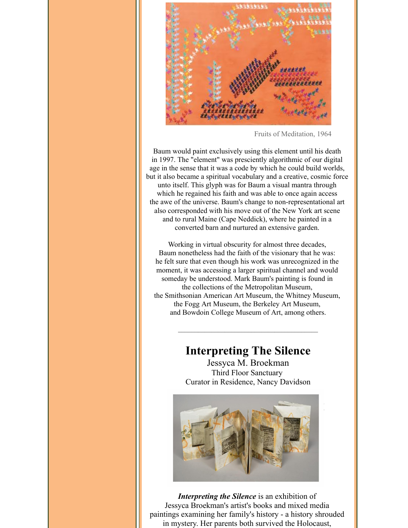

Fruits of Meditation, 1964

Baum would paint exclusively using this element until his death in 1997. The "element" was presciently algorithmic of our digital age in the sense that it was a code by which he could build worlds, but it also became a spiritual vocabulary and a creative, cosmic force unto itself. This glyph was for Baum a visual mantra through which he regained his faith and was able to once again access the awe of the universe. Baum's change to non-representational art also corresponded with his move out of the New York art scene and to rural Maine (Cape Neddick), where he painted in a converted barn and nurtured an extensive garden.

Working in virtual obscurity for almost three decades, Baum nonetheless had the faith of the visionary that he was: he felt sure that even though his work was unrecognized in the moment, it was accessing a larger spiritual channel and would someday be understood. Mark Baum's painting is found in the collections of the Metropolitan Museum, the Smithsonian American Art Museum, the Whitney Museum, the Fogg Art Museum, the Berkeley Art Museum, and Bowdoin College Museum of Art, among others.

## **Interpreting The Silence**

 $\mathcal{L}_\mathcal{L} = \mathcal{L}_\mathcal{L} = \mathcal{L}_\mathcal{L} = \mathcal{L}_\mathcal{L} = \mathcal{L}_\mathcal{L} = \mathcal{L}_\mathcal{L} = \mathcal{L}_\mathcal{L} = \mathcal{L}_\mathcal{L} = \mathcal{L}_\mathcal{L} = \mathcal{L}_\mathcal{L} = \mathcal{L}_\mathcal{L} = \mathcal{L}_\mathcal{L} = \mathcal{L}_\mathcal{L} = \mathcal{L}_\mathcal{L} = \mathcal{L}_\mathcal{L} = \mathcal{L}_\mathcal{L} = \mathcal{L}_\mathcal{L}$ 

Jessyca M. Broekman Third Floor Sanctuary Curator in Residence, Nancy Davidson



*Interpreting the Silence* is an exhibition of Jessyca Broekman's artist's books and mixed media paintings examining her family's history - a history shrouded in mystery. Her parents both survived the Holocaust,